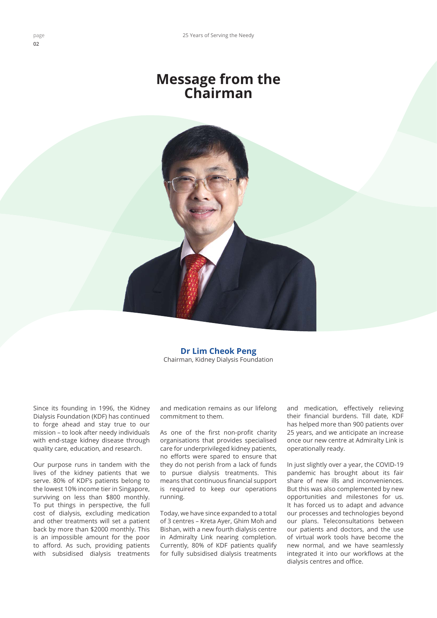## **Message from the Chairman**



**Dr Lim Cheok Peng** Chairman, Kidney Dialysis Foundation

Since its founding in 1996, the Kidney Dialysis Foundation (KDF) has continued to forge ahead and stay true to our mission – to look after needy individuals with end-stage kidney disease through quality care, education, and research.

Our purpose runs in tandem with the lives of the kidney patients that we serve. 80% of KDF's patients belong to the lowest 10% income tier in Singapore, surviving on less than \$800 monthly. To put things in perspective, the full cost of dialysis, excluding medication and other treatments will set a patient back by more than \$2000 monthly. This is an impossible amount for the poor to afford. As such, providing patients with subsidised dialysis treatments

and medication remains as our lifelong commitment to them.

As one of the first non-profit charity organisations that provides specialised care for underprivileged kidney patients, no efforts were spared to ensure that they do not perish from a lack of funds to pursue dialysis treatments. This means that continuous financial support is required to keep our operations running.

Today, we have since expanded to a total of 3 centres – Kreta Ayer, Ghim Moh and Bishan, with a new fourth dialysis centre in Admiralty Link nearing completion. Currently, 80% of KDF patients qualify for fully subsidised dialysis treatments and medication, effectively relieving their financial burdens. Till date, KDF has helped more than 900 patients over 25 years, and we anticipate an increase once our new centre at Admiralty Link is operationally ready.

In just slightly over a year, the COVID-19 pandemic has brought about its fair share of new ills and inconveniences. But this was also complemented by new opportunities and milestones for us. It has forced us to adapt and advance our processes and technologies beyond our plans. Teleconsultations between our patients and doctors, and the use of virtual work tools have become the new normal, and we have seamlessly integrated it into our workflows at the dialysis centres and office.